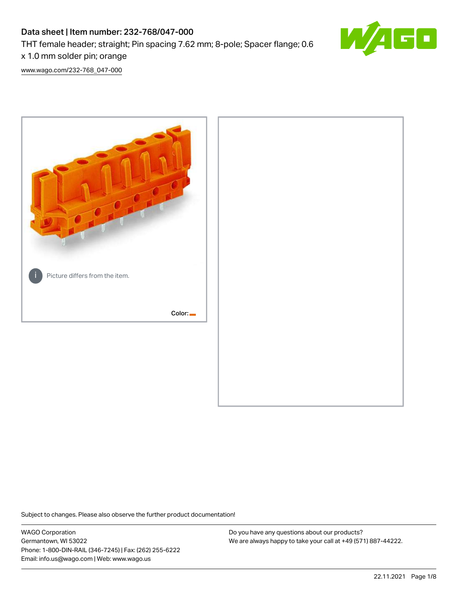# Data sheet | Item number: 232-768/047-000 THT female header; straight; Pin spacing 7.62 mm; 8-pole; Spacer flange; 0.6 x 1.0 mm solder pin; orange



[www.wago.com/232-768\\_047-000](http://www.wago.com/232-768_047-000)



Subject to changes. Please also observe the further product documentation!

WAGO Corporation Germantown, WI 53022 Phone: 1-800-DIN-RAIL (346-7245) | Fax: (262) 255-6222 Email: info.us@wago.com | Web: www.wago.us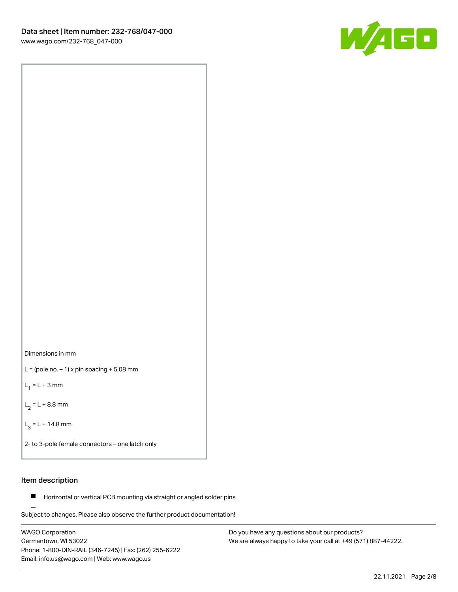

Dimensions in mm

 $L =$  (pole no.  $-1$ ) x pin spacing  $+5.08$  mm

 $L_1 = L + 3$  mm

 $L_2 = L + 8.8$  mm

 $L_3 = L + 14.8$  mm

2- to 3-pole female connectors – one latch only

### Item description

**Horizontal or vertical PCB mounting via straight or angled solder pins** 

Subject to changes. Please also observe the further product documentation! For board-to-board and board-to-wire connections

WAGO Corporation Germantown, WI 53022 Phone: 1-800-DIN-RAIL (346-7245) | Fax: (262) 255-6222 Email: info.us@wago.com | Web: www.wago.us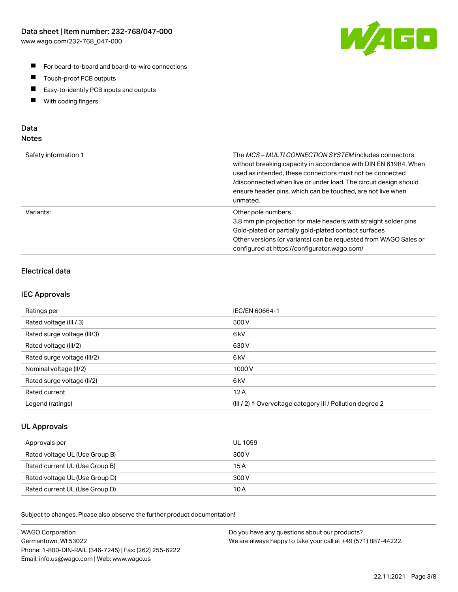

- For board-to-board and board-to-wire connections
- $\blacksquare$ Touch-proof PCB outputs
- $\blacksquare$ Easy-to-identify PCB inputs and outputs
- $\blacksquare$ With coding fingers

### Data **Notes**

| Safety information 1 | The <i>MCS – MULTI CONNECTION SYSTEM</i> includes connectors<br>without breaking capacity in accordance with DIN EN 61984. When<br>used as intended, these connectors must not be connected<br>/disconnected when live or under load. The circuit design should<br>ensure header pins, which can be touched, are not live when<br>unmated. |
|----------------------|--------------------------------------------------------------------------------------------------------------------------------------------------------------------------------------------------------------------------------------------------------------------------------------------------------------------------------------------|
| Variants:            | Other pole numbers<br>3.8 mm pin projection for male headers with straight solder pins<br>Gold-plated or partially gold-plated contact surfaces<br>Other versions (or variants) can be requested from WAGO Sales or<br>configured at https://configurator.wago.com/                                                                        |

# Electrical data

### IEC Approvals

| Ratings per                 | IEC/EN 60664-1                                                        |
|-----------------------------|-----------------------------------------------------------------------|
| Rated voltage (III / 3)     | 500 V                                                                 |
| Rated surge voltage (III/3) | 6 <sub>kV</sub>                                                       |
| Rated voltage (III/2)       | 630 V                                                                 |
| Rated surge voltage (III/2) | 6 <sub>kV</sub>                                                       |
| Nominal voltage (II/2)      | 1000 V                                                                |
| Rated surge voltage (II/2)  | 6 <sub>kV</sub>                                                       |
| Rated current               | 12A                                                                   |
| Legend (ratings)            | $(III / 2)$ $\triangle$ Overvoltage category III / Pollution degree 2 |

### UL Approvals

| Approvals per                  | UL 1059 |
|--------------------------------|---------|
| Rated voltage UL (Use Group B) | 300 V   |
| Rated current UL (Use Group B) | 15 A    |
| Rated voltage UL (Use Group D) | 300 V   |
| Rated current UL (Use Group D) | 10 A    |

Subject to changes. Please also observe the further product documentation!

| <b>WAGO Corporation</b>                                | Do you have any questions about our products?                 |
|--------------------------------------------------------|---------------------------------------------------------------|
| Germantown, WI 53022                                   | We are always happy to take your call at +49 (571) 887-44222. |
| Phone: 1-800-DIN-RAIL (346-7245)   Fax: (262) 255-6222 |                                                               |
| Email: info.us@wago.com   Web: www.wago.us             |                                                               |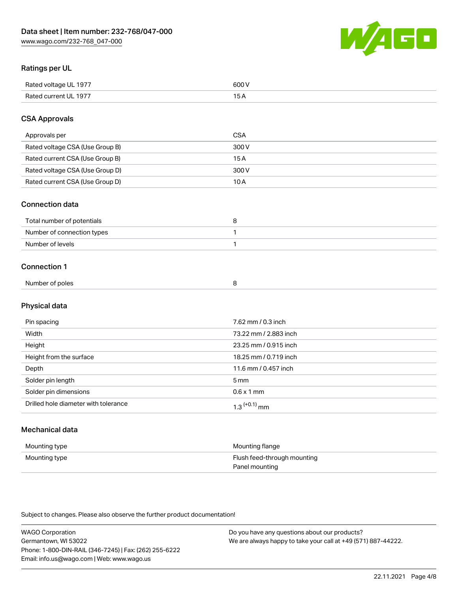

### Ratings per UL

| Rated voltage UL 1977 | 600 \<br>.   |
|-----------------------|--------------|
| Rated current UL 1977 | . . <i>.</i> |

### CSA Approvals

| Approvals per                   | CSA   |
|---------------------------------|-------|
| Rated voltage CSA (Use Group B) | 300 V |
| Rated current CSA (Use Group B) | 15 A  |
| Rated voltage CSA (Use Group D) | 300 V |
| Rated current CSA (Use Group D) | 10 A  |

### Connection data

| Total number of potentials |  |
|----------------------------|--|
| Number of connection types |  |
| Number of levels           |  |

### Connection 1

| Number of poles |  |  |
|-----------------|--|--|

# Physical data

| Pin spacing                          | 7.62 mm / 0.3 inch         |
|--------------------------------------|----------------------------|
| Width                                | 73.22 mm / 2.883 inch      |
| Height                               | 23.25 mm / 0.915 inch      |
| Height from the surface              | 18.25 mm / 0.719 inch      |
| Depth                                | 11.6 mm / 0.457 inch       |
| Solder pin length                    | $5 \,\mathrm{mm}$          |
| Solder pin dimensions                | $0.6 \times 1$ mm          |
| Drilled hole diameter with tolerance | $1.3$ <sup>(+0.1)</sup> mm |

# Mechanical data

| Mounting type | Mounting flange             |
|---------------|-----------------------------|
| Mounting type | Flush feed-through mounting |
|               | Panel mounting              |

Subject to changes. Please also observe the further product documentation!

| <b>WAGO Corporation</b>                                | Do you have any questions about our products?                 |
|--------------------------------------------------------|---------------------------------------------------------------|
| Germantown, WI 53022                                   | We are always happy to take your call at +49 (571) 887-44222. |
| Phone: 1-800-DIN-RAIL (346-7245)   Fax: (262) 255-6222 |                                                               |
| Email: info.us@wago.com   Web: www.wago.us             |                                                               |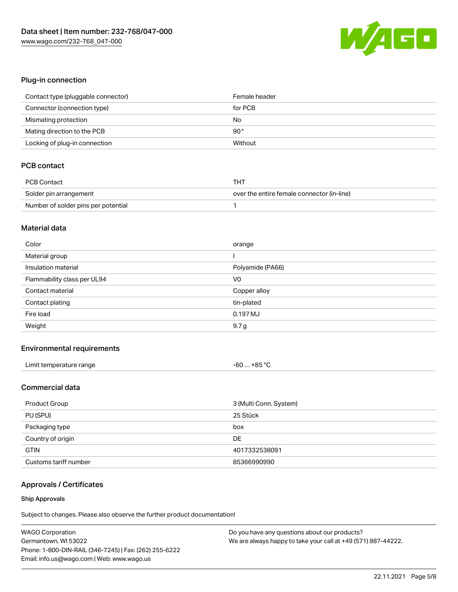

### Plug-in connection

| Contact type (pluggable connector) | Female header |
|------------------------------------|---------------|
| Connector (connection type)        | for PCB       |
| Mismating protection               | No            |
| Mating direction to the PCB        | $90^{\circ}$  |
| Locking of plug-in connection      | Without       |

## PCB contact

| PCB Contact                         | тнт                                        |
|-------------------------------------|--------------------------------------------|
| Solder pin arrangement              | over the entire female connector (in-line) |
| Number of solder pins per potential |                                            |

### Material data

| Color                       | orange           |
|-----------------------------|------------------|
| Material group              |                  |
| Insulation material         | Polyamide (PA66) |
| Flammability class per UL94 | V <sub>0</sub>   |
|                             |                  |
| Contact material            | Copper alloy     |
| Contact plating             | tin-plated       |
| Fire load                   | 0.197 MJ         |

### Environmental requirements

| Limit temperature range | $-60+85 °C$ |
|-------------------------|-------------|
|-------------------------|-------------|

### Commercial data

| Product Group         | 3 (Multi Conn. System) |
|-----------------------|------------------------|
| PU (SPU)              | 25 Stück               |
| Packaging type        | box                    |
| Country of origin     | DE                     |
| <b>GTIN</b>           | 4017332538091          |
| Customs tariff number | 85366990990            |

### Approvals / Certificates

#### Ship Approvals

Subject to changes. Please also observe the further product documentation!

| <b>WAGO Corporation</b>                                | Do you have any questions about our products?                 |
|--------------------------------------------------------|---------------------------------------------------------------|
| Germantown, WI 53022                                   | We are always happy to take your call at +49 (571) 887-44222. |
| Phone: 1-800-DIN-RAIL (346-7245)   Fax: (262) 255-6222 |                                                               |
| Email: info.us@wago.com   Web: www.wago.us             |                                                               |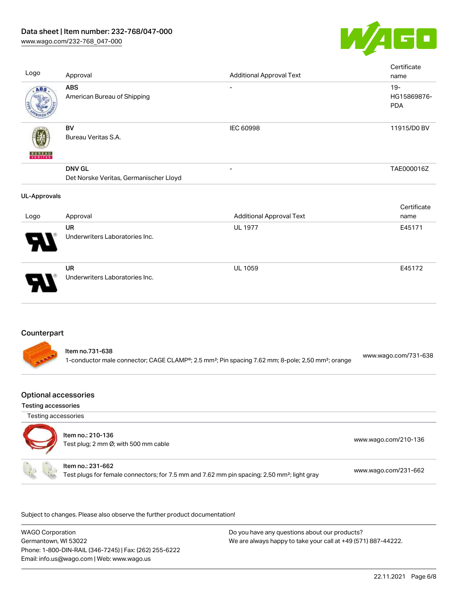

| Logo                | Approval                                                | <b>Additional Approval Text</b>                                                                                           | Certificate<br>name                 |
|---------------------|---------------------------------------------------------|---------------------------------------------------------------------------------------------------------------------------|-------------------------------------|
| ABS                 | <b>ABS</b><br>American Bureau of Shipping               |                                                                                                                           | $19 -$<br>HG15869876-<br><b>PDA</b> |
|                     | <b>BV</b><br>Bureau Veritas S.A.                        | IEC 60998                                                                                                                 | 11915/D0 BV                         |
|                     | <b>DNV GL</b><br>Det Norske Veritas, Germanischer Lloyd | $\overline{a}$                                                                                                            | TAE000016Z                          |
| <b>UL-Approvals</b> |                                                         |                                                                                                                           |                                     |
| Logo                | Approval                                                | <b>Additional Approval Text</b>                                                                                           | Certificate<br>name                 |
|                     | <b>UR</b><br>Underwriters Laboratories Inc.             | <b>UL 1977</b>                                                                                                            | E45171                              |
|                     | <b>UR</b><br>Underwriters Laboratories Inc.             | <b>UL 1059</b>                                                                                                            | E45172                              |
| Counterpart         | Item no.731-638                                         |                                                                                                                           |                                     |
|                     |                                                         | 1-conductor male connector; CAGE CLAMP®; 2.5 mm <sup>2</sup> ; Pin spacing 7.62 mm; 8-pole; 2,50 mm <sup>2</sup> ; orange | www.wago.com/731-638                |

# Optional accessories

Testing accessories

Testing accessories



.<br>Subject to changes. Please also observe the further product documentation!

WAGO Corporation Germantown, WI 53022 Phone: 1-800-DIN-RAIL (346-7245) | Fax: (262) 255-6222 Email: info.us@wago.com | Web: www.wago.us Do you have any questions about our products? We are always happy to take your call at +49 (571) 887-44222.

22.11.2021 Page 6/8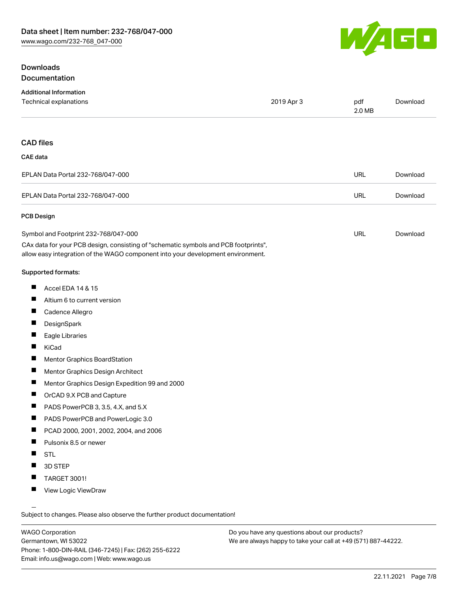### Downloads Documentation



| Additional Information                                                                                                                                                 |            |               |          |
|------------------------------------------------------------------------------------------------------------------------------------------------------------------------|------------|---------------|----------|
| <b>Technical explanations</b>                                                                                                                                          | 2019 Apr 3 | pdf<br>2.0 MB | Download |
|                                                                                                                                                                        |            |               |          |
| <b>CAD files</b>                                                                                                                                                       |            |               |          |
| CAE data                                                                                                                                                               |            |               |          |
| EPLAN Data Portal 232-768/047-000                                                                                                                                      |            | <b>URL</b>    | Download |
| EPLAN Data Portal 232-768/047-000                                                                                                                                      |            | <b>URL</b>    | Download |
| PCB Design                                                                                                                                                             |            |               |          |
| Symbol and Footprint 232-768/047-000                                                                                                                                   |            | <b>URL</b>    | Download |
| CAx data for your PCB design, consisting of "schematic symbols and PCB footprints",<br>allow easy integration of the WAGO component into your development environment. |            |               |          |
| Supported formats:                                                                                                                                                     |            |               |          |

- $\blacksquare$ Accel EDA 14 & 15
- $\blacksquare$ Altium 6 to current version
- $\blacksquare$ Cadence Allegro
- $\blacksquare$ **DesignSpark**
- $\blacksquare$ Eagle Libraries
- $\blacksquare$ KiCad
- $\blacksquare$ Mentor Graphics BoardStation
- $\blacksquare$ Mentor Graphics Design Architect
- $\blacksquare$ Mentor Graphics Design Expedition 99 and 2000
- $\blacksquare$ OrCAD 9.X PCB and Capture
- $\blacksquare$ PADS PowerPCB 3, 3.5, 4.X, and 5.X
- $\blacksquare$ PADS PowerPCB and PowerLogic 3.0
- $\blacksquare$ PCAD 2000, 2001, 2002, 2004, and 2006
- $\blacksquare$ Pulsonix 8.5 or newer
- $\blacksquare$ STL
- П 3D STEP
- $\blacksquare$ TARGET 3001!
- $\blacksquare$ View Logic ViewDraw

Subject to changes. Please also observe the further product documentation!

WAGO Corporation Germantown, WI 53022 Phone: 1-800-DIN-RAIL (346-7245) | Fax: (262) 255-6222 Email: info.us@wago.com | Web: www.wago.us